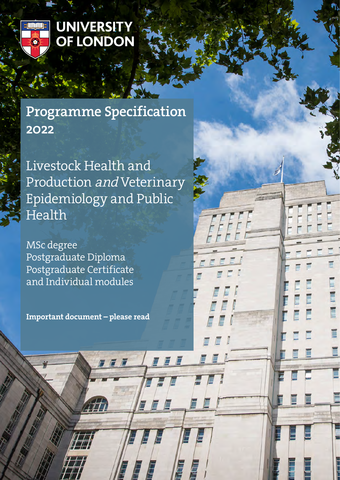

# **UNIVERSITY** OF LONDON

# Programme Specification 2022

Livestock Health and Production and Veterinary Epidemiology and Public Health

MSc degree Postgraduate Diploma Postgraduate Certificate and Individual modules

Important document – please read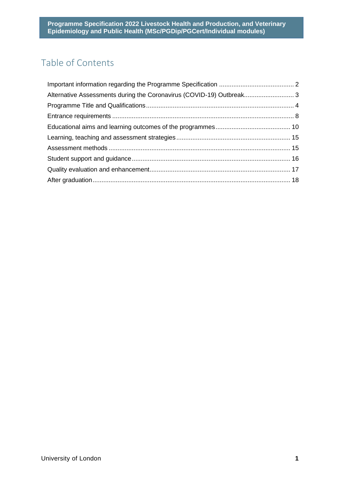# Table of Contents

| Alternative Assessments during the Coronavirus (COVID-19) Outbreak 3 |
|----------------------------------------------------------------------|
|                                                                      |
|                                                                      |
|                                                                      |
|                                                                      |
|                                                                      |
|                                                                      |
|                                                                      |
|                                                                      |
|                                                                      |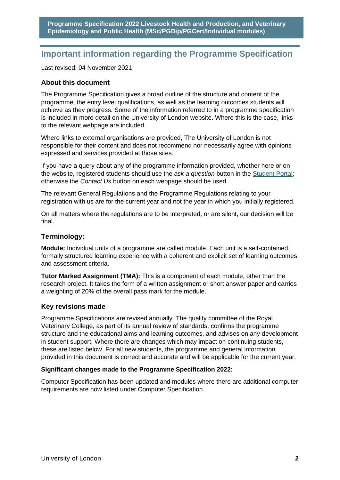# <span id="page-2-0"></span>**Important information regarding the Programme Specification**

Last revised: 04 November 2021

#### **About this document**

The Programme Specification gives a broad outline of the structure and content of the programme, the entry level qualifications, as well as the learning outcomes students will achieve as they progress. Some of the information referred to in a programme specification is included in more detail on the University of London website. Where this is the case, links to the relevant webpage are included.

Where links to external organisations are provided, The University of London is not responsible for their content and does not recommend nor necessarily agree with opinions expressed and services provided at those sites.

If you have a query about any of the programme information provided, whether here or on the website, registered students should use the *ask a question* button in the [Student Portal;](https://my.london.ac.uk/) otherwise the *Contact Us* button on each webpage should be used.

The relevant General Regulations and the Programme Regulations relating to your registration with us are for the current year and not the year in which you initially registered.

On all matters where the regulations are to be interpreted, or are silent, our decision will be final.

#### **Terminology:**

**Module:** Individual units of a programme are called module. Each unit is a self-contained, formally structured learning experience with a coherent and explicit set of learning outcomes and assessment criteria.

**Tutor Marked Assignment (TMA):** This is a component of each module, other than the research project. It takes the form of a written assignment or short answer paper and carries a weighting of 20% of the overall pass mark for the module.

# **Key revisions made**

Programme Specifications are revised annually. The quality committee of the Royal Veterinary College, as part of its annual review of standards, confirms the programme structure and the educational aims and learning outcomes, and advises on any development in student support. Where there are changes which may impact on continuing students, these are listed below. For all new students, the programme and general information provided in this document is correct and accurate and will be applicable for the current year.

#### **Significant changes made to the Programme Specification 2022:**

Computer Specification has been updated and modules where there are additional computer requirements are now listed under Computer Specification.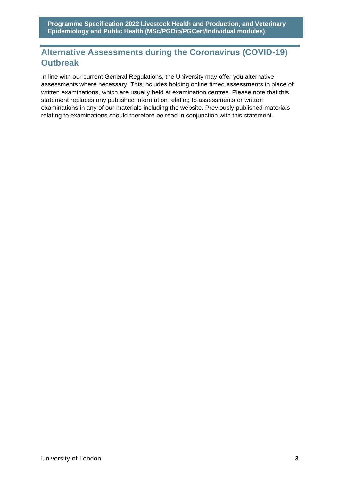# <span id="page-3-0"></span>**Alternative Assessments during the Coronavirus (COVID-19) Outbreak**

In line with our current General Regulations, the University may offer you alternative assessments where necessary. This includes holding online timed assessments in place of written examinations, which are usually held at examination centres. Please note that this statement replaces any published information relating to assessments or written examinations in any of our materials including the website. Previously published materials relating to examinations should therefore be read in conjunction with this statement.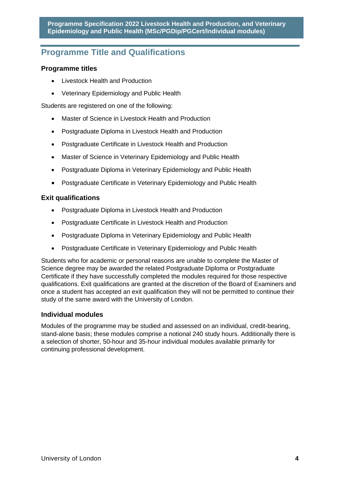# <span id="page-4-0"></span>**Programme Title and Qualifications**

# **Programme titles**

- Livestock Health and Production
- Veterinary Epidemiology and Public Health

Students are registered on one of the following:

- Master of Science in Livestock Health and Production
- Postgraduate Diploma in Livestock Health and Production
- Postgraduate Certificate in Livestock Health and Production
- Master of Science in Veterinary Epidemiology and Public Health
- Postgraduate Diploma in Veterinary Epidemiology and Public Health
- Postgraduate Certificate in Veterinary Epidemiology and Public Health

## **Exit qualifications**

- Postgraduate Diploma in Livestock Health and Production
- Postgraduate Certificate in Livestock Health and Production
- Postgraduate Diploma in Veterinary Epidemiology and Public Health
- Postgraduate Certificate in Veterinary Epidemiology and Public Health

Students who for academic or personal reasons are unable to complete the Master of Science degree may be awarded the related Postgraduate Diploma or Postgraduate Certificate if they have successfully completed the modules required for those respective qualifications. Exit qualifications are granted at the discretion of the Board of Examiners and once a student has accepted an exit qualification they will not be permitted to continue their study of the same award with the University of London.

# **Individual modules**

Modules of the programme may be studied and assessed on an individual, credit-bearing, stand-alone basis; these modules comprise a notional 240 study hours. Additionally there is a selection of shorter, 50-hour and 35-hour individual modules available primarily for continuing professional development.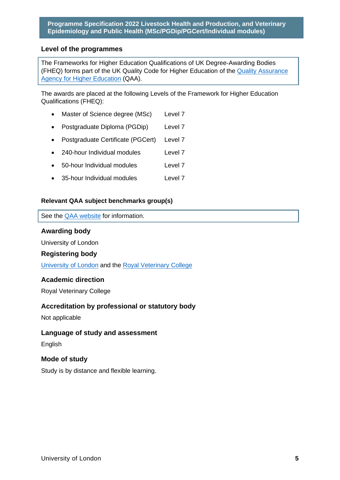## **Level of the programmes**

The Frameworks for Higher Education Qualifications of UK Degree-Awarding Bodies (FHEQ) forms part of the UK Quality Code for Higher Education of the [Quality Assurance](http://www.qaa.ac.uk/en)  [Agency for Higher Education](http://www.qaa.ac.uk/en) (QAA).

The awards are placed at the following Levels of the Framework for Higher Education Qualifications (FHEQ):

- Master of Science degree (MSc) Level 7
- Postgraduate Diploma (PGDip) Level 7
- Postgraduate Certificate (PGCert) Level 7
- 240-hour Individual modules Level 7
- 50-hour Individual modules Level 7
- 35-hour Individual modules Level 7

#### **Relevant QAA subject benchmarks group(s)**

#### See the [QAA website](http://www.qaa.ac.uk/) for information.

#### **Awarding body**

University of London

#### **Registering body**

[University of London](https://london.ac.uk/) and the [Royal Veterinary College](http://www.rvc.ac.uk/)

#### **Academic direction**

Royal Veterinary College

#### **Accreditation by professional or statutory body**

Not applicable

#### **Language of study and assessment**

**English** 

#### **Mode of study**

Study is by distance and flexible learning.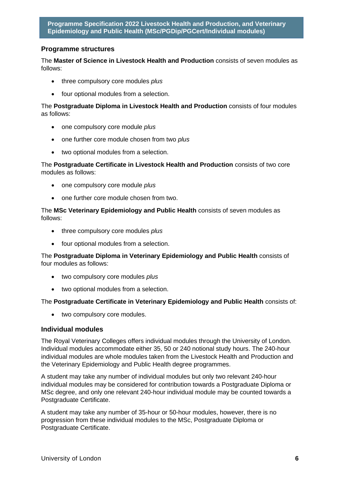# **Programme structures**

The **Master of Science in Livestock Health and Production** consists of seven modules as follows:

- three compulsory core modules *plus*
- four optional modules from a selection.

The **Postgraduate Diploma in Livestock Health and Production** consists of four modules as follows:

- one compulsory core module *plus*
- one further core module chosen from two *plus*
- two optional modules from a selection.

The **Postgraduate Certificate in Livestock Health and Production** consists of two core modules as follows:

- one compulsory core module *plus*
- one further core module chosen from two.

The **MSc Veterinary Epidemiology and Public Health** consists of seven modules as follows:

- three compulsory core modules *plus*
- four optional modules from a selection.

The **Postgraduate Diploma in Veterinary Epidemiology and Public Health** consists of four modules as follows:

- two compulsory core modules *plus*
- two optional modules from a selection.

The **Postgraduate Certificate in Veterinary Epidemiology and Public Health** consists of:

• two compulsory core modules.

#### **Individual modules**

The Royal Veterinary Colleges offers individual modules through the University of London. Individual modules accommodate either 35, 50 or 240 notional study hours. The 240-hour individual modules are whole modules taken from the Livestock Health and Production and the Veterinary Epidemiology and Public Health degree programmes.

A student may take any number of individual modules but only two relevant 240-hour individual modules may be considered for contribution towards a Postgraduate Diploma or MSc degree, and only one relevant 240-hour individual module may be counted towards a Postgraduate Certificate.

A student may take any number of 35-hour or 50-hour modules, however, there is no progression from these individual modules to the MSc, Postgraduate Diploma or Postgraduate Certificate.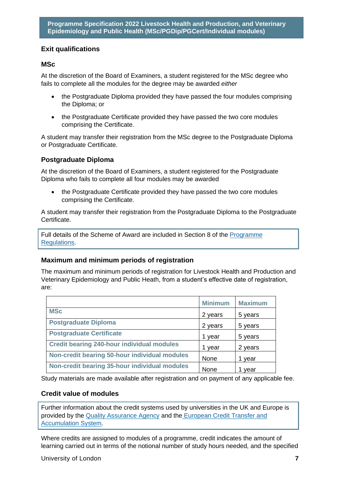# **Exit qualifications**

# **MSc**

At the discretion of the Board of Examiners, a student registered for the MSc degree who fails to complete all the modules for the degree may be awarded *either*

- the Postgraduate Diploma provided they have passed the four modules comprising the Diploma; or
- the Postgraduate Certificate provided they have passed the two core modules comprising the Certificate.

A student may transfer their registration from the MSc degree to the Postgraduate Diploma or Postgraduate Certificate.

## **Postgraduate Diploma**

At the discretion of the Board of Examiners, a student registered for the Postgraduate Diploma who fails to complete all four modules may be awarded

• the Postgraduate Certificate provided they have passed the two core modules comprising the Certificate.

A student may transfer their registration from the Postgraduate Diploma to the Postgraduate Certificate.

Full details of the Scheme of Award are included in Section 8 of the [Programme](https://london.ac.uk/current-students/programme-documents/regulations)  [Regulations.](https://london.ac.uk/current-students/programme-documents/regulations)

# **Maximum and minimum periods of registration**

The maximum and minimum periods of registration for Livestock Health and Production and Veterinary Epidemiology and Public Heath, from a student's effective date of registration, are:

|                                                   | <b>Minimum</b> | <b>Maximum</b> |
|---------------------------------------------------|----------------|----------------|
| <b>MSc</b>                                        | 2 years        | 5 years        |
| <b>Postgraduate Diploma</b>                       | 2 years        | 5 years        |
| <b>Postgraduate Certificate</b>                   | 1 year         | 5 years        |
| <b>Credit bearing 240-hour individual modules</b> | 1 year         | 2 years        |
| Non-credit bearing 50-hour individual modules     | None           | year           |
| Non-credit bearing 35-hour individual modules     | <b>None</b>    | year           |

Study materials are made available after registration and on payment of any applicable fee.

# **Credit value of modules**

Further information about the credit systems used by universities in the UK and Europe is provided by the [Quality Assurance Agency](http://www.qaa.ac.uk/en) and the [European Credit Transfer and](http://ec.europa.eu/education/resources/european-credit-transfer-accumulation-system_en.htm)  [Accumulation System.](http://ec.europa.eu/education/resources/european-credit-transfer-accumulation-system_en.htm)

Where credits are assigned to modules of a programme, credit indicates the amount of learning carried out in terms of the notional number of study hours needed, and the specified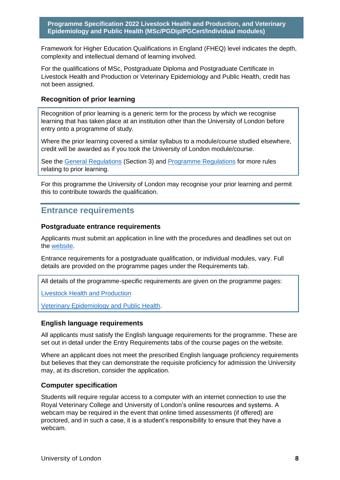Framework for Higher Education Qualifications in England (FHEQ) level indicates the depth, complexity and intellectual demand of learning involved.

For the qualifications of MSc, Postgraduate Diploma and Postgraduate Certificate in Livestock Health and Production or Veterinary Epidemiology and Public Health, credit has not been assigned.

## **Recognition of prior learning**

Recognition of prior learning is a generic term for the process by which we recognise learning that has taken place at an institution other than the University of London before entry onto a programme of study.

Where the prior learning covered a similar syllabus to a module/course studied elsewhere, credit will be awarded as if you took the University of London module/course.

See the [General Regulations](https://london.ac.uk/current-students/programme-documents/regulations) (Section 3) and [Programme Regulations](https://london.ac.uk/current-students/programme-documents/regulations) for more rules relating to prior learning.

For this programme the University of London may recognise your prior learning and permit this to contribute towards the qualification.

# <span id="page-8-0"></span>**Entrance requirements**

#### **Postgraduate entrance requirements**

Applicants must submit an application in line with the procedures and deadlines set out on the [website.](https://london.ac.uk/applications/how-apply)

Entrance requirements for a postgraduate qualification, or individual modules, vary. Full details are provided on the programme pages under the Requirements tab.

All details of the programme-specific requirements are given on the programme pages:

[Livestock Health and Production](https://london.ac.uk/courses/livestock-health-and-production#requirements)

[Veterinary Epidemiology and Public Health.](https://london.ac.uk/courses/veterinary-epidemiology-and-public-health#requirements)

#### **English language requirements**

All applicants must satisfy the English language requirements for the programme. These are set out in detail under the Entry Requirements tabs of the course pages on the website.

Where an applicant does not meet the prescribed English language proficiency requirements but believes that they can demonstrate the requisite proficiency for admission the University may, at its discretion, consider the application.

#### **Computer specification**

Students will require regular access to a computer with an internet connection to use the Royal Veterinary College and University of London's online resources and systems. A webcam may be required in the event that online timed assessments (if offered) are proctored, and in such a case, it is a student's responsibility to ensure that they have a webcam.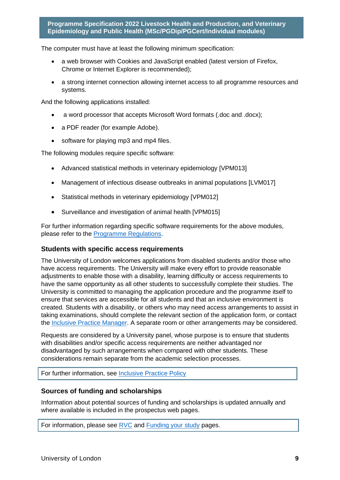The computer must have at least the following minimum specification:

- a web browser with Cookies and JavaScript enabled (latest version of Firefox, Chrome or Internet Explorer is recommended);
- a strong internet connection allowing internet access to all programme resources and systems.

And the following applications installed:

- a word processor that accepts Microsoft Word formats (.doc and .docx);
- a PDF reader (for example Adobe).
- software for playing mp3 and mp4 files.

The following modules require specific software:

- Advanced statistical methods in veterinary epidemiology [VPM013]
- Management of infectious disease outbreaks in animal populations [LVM017]
- Statistical methods in veterinary epidemiology [VPM012]
- Surveillance and investigation of animal health [VPM015]

For further information regarding specific software requirements for the above modules, please refer to the [Programme Regulations.](https://london.ac.uk/current-students/programme-documents/regulations)

#### **Students with specific access requirements**

The University of London welcomes applications from disabled students and/or those who have access requirements. The University will make every effort to provide reasonable adjustments to enable those with a disability, learning difficulty or access requirements to have the same opportunity as all other students to successfully complete their studies. The University is committed to managing the application procedure and the programme itself to ensure that services are accessible for all students and that an inclusive environment is created. Students with a disability, or others who may need access arrangements to assist in taking examinations, should complete the relevant section of the application form, or contact the [Inclusive Practice Manager.](mailto:special.arrangements@london.ac.uk) A separate room or other arrangements may be considered.

Requests are considered by a University panel, whose purpose is to ensure that students with disabilities and/or specific access requirements are neither advantaged nor disadvantaged by such arrangements when compared with other students. These considerations remain separate from the academic selection processes.

For further information, see [Inclusive Practice Policy](https://london.ac.uk/applications/how-it-works/inclusive-practice-special-arrangements)

#### **Sources of funding and scholarships**

Information about potential sources of funding and scholarships is updated annually and where available is included in the prospectus web pages.

<span id="page-9-0"></span>For information, please see [RVC](http://www.rvc.ac.uk/) and [Funding your study](https://london.ac.uk/applications/funding-your-study) pages.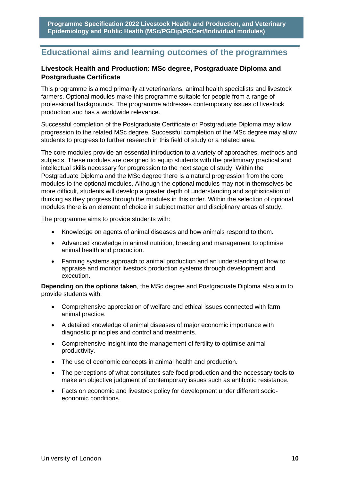# **Educational aims and learning outcomes of the programmes**

# **Livestock Health and Production: MSc degree, Postgraduate Diploma and Postgraduate Certificate**

This programme is aimed primarily at veterinarians, animal health specialists and livestock farmers. Optional modules make this programme suitable for people from a range of professional backgrounds. The programme addresses contemporary issues of livestock production and has a worldwide relevance.

Successful completion of the Postgraduate Certificate or Postgraduate Diploma may allow progression to the related MSc degree. Successful completion of the MSc degree may allow students to progress to further research in this field of study or a related area.

The core modules provide an essential introduction to a variety of approaches, methods and subjects. These modules are designed to equip students with the preliminary practical and intellectual skills necessary for progression to the next stage of study. Within the Postgraduate Diploma and the MSc degree there is a natural progression from the core modules to the optional modules. Although the optional modules may not in themselves be more difficult, students will develop a greater depth of understanding and sophistication of thinking as they progress through the modules in this order. Within the selection of optional modules there is an element of choice in subject matter and disciplinary areas of study.

The programme aims to provide students with:

- Knowledge on agents of animal diseases and how animals respond to them.
- Advanced knowledge in animal nutrition, breeding and management to optimise animal health and production.
- Farming systems approach to animal production and an understanding of how to appraise and monitor livestock production systems through development and execution.

**Depending on the options taken**, the MSc degree and Postgraduate Diploma also aim to provide students with:

- Comprehensive appreciation of welfare and ethical issues connected with farm animal practice.
- A detailed knowledge of animal diseases of major economic importance with diagnostic principles and control and treatments.
- Comprehensive insight into the management of fertility to optimise animal productivity.
- The use of economic concepts in animal health and production.
- The perceptions of what constitutes safe food production and the necessary tools to make an objective judgment of contemporary issues such as antibiotic resistance.
- Facts on economic and livestock policy for development under different socioeconomic conditions.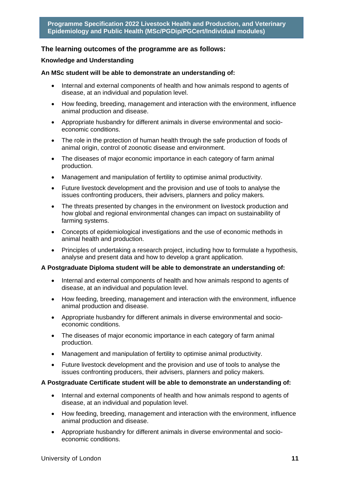## **The learning outcomes of the programme are as follows:**

#### **Knowledge and Understanding**

#### **An MSc student will be able to demonstrate an understanding of:**

- Internal and external components of health and how animals respond to agents of disease, at an individual and population level.
- How feeding, breeding, management and interaction with the environment, influence animal production and disease.
- Appropriate husbandry for different animals in diverse environmental and socioeconomic conditions.
- The role in the protection of human health through the safe production of foods of animal origin, control of zoonotic disease and environment.
- The diseases of major economic importance in each category of farm animal production.
- Management and manipulation of fertility to optimise animal productivity.
- Future livestock development and the provision and use of tools to analyse the issues confronting producers, their advisers, planners and policy makers.
- The threats presented by changes in the environment on livestock production and how global and regional environmental changes can impact on sustainability of farming systems.
- Concepts of epidemiological investigations and the use of economic methods in animal health and production.
- Principles of undertaking a research project, including how to formulate a hypothesis, analyse and present data and how to develop a grant application.

#### **A Postgraduate Diploma student will be able to demonstrate an understanding of:**

- Internal and external components of health and how animals respond to agents of disease, at an individual and population level.
- How feeding, breeding, management and interaction with the environment, influence animal production and disease.
- Appropriate husbandry for different animals in diverse environmental and socioeconomic conditions.
- The diseases of major economic importance in each category of farm animal production.
- Management and manipulation of fertility to optimise animal productivity.
- Future livestock development and the provision and use of tools to analyse the issues confronting producers, their advisers, planners and policy makers.

#### **A Postgraduate Certificate student will be able to demonstrate an understanding of:**

- Internal and external components of health and how animals respond to agents of disease, at an individual and population level.
- How feeding, breeding, management and interaction with the environment, influence animal production and disease.
- Appropriate husbandry for different animals in diverse environmental and socioeconomic conditions.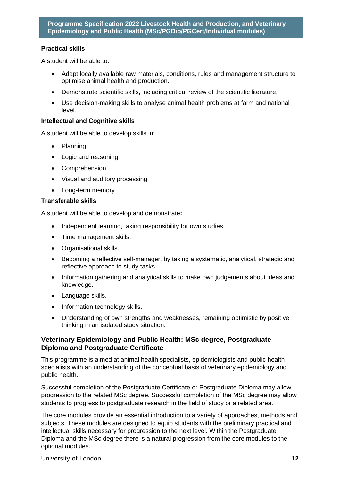#### **Practical skills**

A student will be able to:

- Adapt locally available raw materials, conditions, rules and management structure to optimise animal health and production.
- Demonstrate scientific skills, including critical review of the scientific literature.
- Use decision-making skills to analyse animal health problems at farm and national level.

## **Intellectual and Cognitive skills**

A student will be able to develop skills in:

- Planning
- Logic and reasoning
- Comprehension
- Visual and auditory processing
- Long-term memory

#### **Transferable skills**

A student will be able to develop and demonstrate**:**

- Independent learning, taking responsibility for own studies.
- Time management skills.
- Organisational skills.
- Becoming a reflective self-manager, by taking a systematic, analytical, strategic and reflective approach to study tasks.
- Information gathering and analytical skills to make own judgements about ideas and knowledge.
- Language skills.
- Information technology skills.
- Understanding of own strengths and weaknesses, remaining optimistic by positive thinking in an isolated study situation.

## **Veterinary Epidemiology and Public Health: MSc degree, Postgraduate Diploma and Postgraduate Certificate**

This programme is aimed at animal health specialists, epidemiologists and public health specialists with an understanding of the conceptual basis of veterinary epidemiology and public health.

Successful completion of the Postgraduate Certificate or Postgraduate Diploma may allow progression to the related MSc degree. Successful completion of the MSc degree may allow students to progress to postgraduate research in the field of study or a related area.

The core modules provide an essential introduction to a variety of approaches, methods and subjects. These modules are designed to equip students with the preliminary practical and intellectual skills necessary for progression to the next level. Within the Postgraduate Diploma and the MSc degree there is a natural progression from the core modules to the optional modules.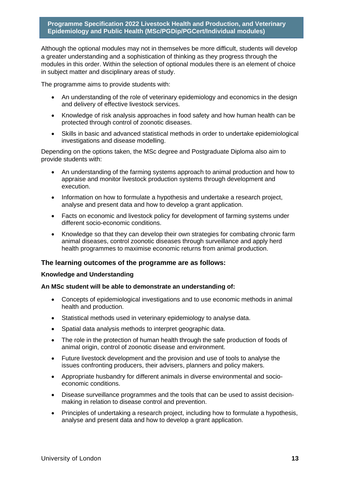Although the optional modules may not in themselves be more difficult, students will develop a greater understanding and a sophistication of thinking as they progress through the modules in this order. Within the selection of optional modules there is an element of choice in subject matter and disciplinary areas of study.

The programme aims to provide students with:

- An understanding of the role of veterinary epidemiology and economics in the design and delivery of effective livestock services.
- Knowledge of risk analysis approaches in food safety and how human health can be protected through control of zoonotic diseases.
- Skills in basic and advanced statistical methods in order to undertake epidemiological investigations and disease modelling.

Depending on the options taken, the MSc degree and Postgraduate Diploma also aim to provide students with:

- An understanding of the farming systems approach to animal production and how to appraise and monitor livestock production systems through development and execution.
- Information on how to formulate a hypothesis and undertake a research project, analyse and present data and how to develop a grant application.
- Facts on economic and livestock policy for development of farming systems under different socio-economic conditions.
- Knowledge so that they can develop their own strategies for combating chronic farm animal diseases, control zoonotic diseases through surveillance and apply herd health programmes to maximise economic returns from animal production.

#### **The learning outcomes of the programme are as follows:**

#### **Knowledge and Understanding**

#### **An MSc student will be able to demonstrate an understanding of:**

- Concepts of epidemiological investigations and to use economic methods in animal health and production.
- Statistical methods used in veterinary epidemiology to analyse data.
- Spatial data analysis methods to interpret geographic data.
- The role in the protection of human health through the safe production of foods of animal origin, control of zoonotic disease and environment.
- Future livestock development and the provision and use of tools to analyse the issues confronting producers, their advisers, planners and policy makers.
- Appropriate husbandry for different animals in diverse environmental and socioeconomic conditions.
- Disease surveillance programmes and the tools that can be used to assist decisionmaking in relation to disease control and prevention.
- Principles of undertaking a research project, including how to formulate a hypothesis, analyse and present data and how to develop a grant application.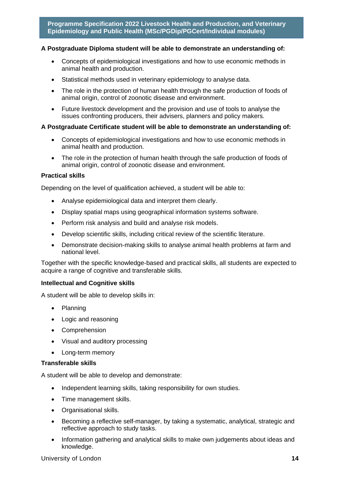#### **A Postgraduate Diploma student will be able to demonstrate an understanding of:**

- Concepts of epidemiological investigations and how to use economic methods in animal health and production.
- Statistical methods used in veterinary epidemiology to analyse data.
- The role in the protection of human health through the safe production of foods of animal origin, control of zoonotic disease and environment.
- Future livestock development and the provision and use of tools to analyse the issues confronting producers, their advisers, planners and policy makers.

#### **A Postgraduate Certificate student will be able to demonstrate an understanding of:**

- Concepts of epidemiological investigations and how to use economic methods in animal health and production.
- The role in the protection of human health through the safe production of foods of animal origin, control of zoonotic disease and environment.

#### **Practical skills**

Depending on the level of qualification achieved, a student will be able to:

- Analyse epidemiological data and interpret them clearly.
- Display spatial maps using geographical information systems software.
- Perform risk analysis and build and analyse risk models.
- Develop scientific skills, including critical review of the scientific literature.
- Demonstrate decision-making skills to analyse animal health problems at farm and national level.

Together with the specific knowledge-based and practical skills, all students are expected to acquire a range of cognitive and transferable skills.

#### **Intellectual and Cognitive skills**

A student will be able to develop skills in:

- Planning
- Logic and reasoning
- Comprehension
- Visual and auditory processing
- Long-term memory

#### **Transferable skills**

A student will be able to develop and demonstrate:

- Independent learning skills, taking responsibility for own studies.
- Time management skills.
- Organisational skills.
- Becoming a reflective self-manager, by taking a systematic, analytical, strategic and reflective approach to study tasks.
- Information gathering and analytical skills to make own judgements about ideas and knowledge.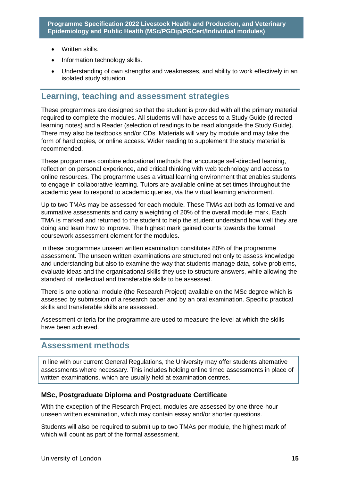- Written skills.
- Information technology skills.
- Understanding of own strengths and weaknesses, and ability to work effectively in an isolated study situation.

# <span id="page-15-0"></span>**Learning, teaching and assessment strategies**

These programmes are designed so that the student is provided with all the primary material required to complete the modules. All students will have access to a Study Guide (directed learning notes) and a Reader (selection of readings to be read alongside the Study Guide). There may also be textbooks and/or CDs. Materials will vary by module and may take the form of hard copies, or online access. Wider reading to supplement the study material is recommended.

These programmes combine educational methods that encourage self-directed learning, reflection on personal experience, and critical thinking with web technology and access to online resources. The programme uses a virtual learning environment that enables students to engage in collaborative learning. Tutors are available online at set times throughout the academic year to respond to academic queries, via the virtual learning environment.

Up to two TMAs may be assessed for each module. These TMAs act both as formative and summative assessments and carry a weighting of 20% of the overall module mark. Each TMA is marked and returned to the student to help the student understand how well they are doing and learn how to improve. The highest mark gained counts towards the formal coursework assessment element for the modules.

In these programmes unseen written examination constitutes 80% of the programme assessment. The unseen written examinations are structured not only to assess knowledge and understanding but also to examine the way that students manage data, solve problems, evaluate ideas and the organisational skills they use to structure answers, while allowing the standard of intellectual and transferable skills to be assessed.

There is one optional module (the Research Project) available on the MSc degree which is assessed by submission of a research paper and by an oral examination. Specific practical skills and transferable skills are assessed.

Assessment criteria for the programme are used to measure the level at which the skills have been achieved.

# <span id="page-15-1"></span>**Assessment methods**

In line with our current General Regulations, the University may offer students alternative assessments where necessary. This includes holding online timed assessments in place of written examinations, which are usually held at examination centres.

# **MSc, Postgraduate Diploma and Postgraduate Certificate**

With the exception of the Research Project, modules are assessed by one three-hour unseen written examination, which may contain essay and/or shorter questions.

Students will also be required to submit up to two TMAs per module, the highest mark of which will count as part of the formal assessment.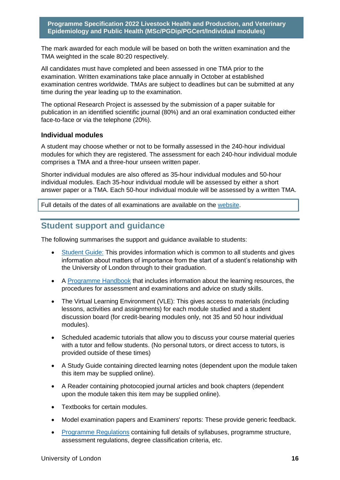The mark awarded for each module will be based on both the written examination and the TMA weighted in the scale 80:20 respectively.

All candidates must have completed and been assessed in one TMA prior to the examination. Written examinations take place annually in October at established examination centres worldwide. TMAs are subject to deadlines but can be submitted at any time during the year leading up to the examination.

The optional Research Project is assessed by the submission of a paper suitable for publication in an identified scientific journal (80%) and an oral examination conducted either face-to-face or via the telephone (20%).

#### **Individual modules**

A student may choose whether or not to be formally assessed in the 240-hour individual modules for which they are registered. The assessment for each 240-hour individual module comprises a TMA and a three-hour unseen written paper.

Shorter individual modules are also offered as 35-hour individual modules and 50-hour individual modules. Each 35-hour individual module will be assessed by either a short answer paper or a TMA. Each 50-hour individual module will be assessed by a written TMA.

Full details of the dates of all examinations are available on the [website.](https://london.ac.uk/current-students/examinations/exam-timetables)

# <span id="page-16-0"></span>**Student support and guidance**

The following summarises the support and guidance available to students:

- [Student Guide:](https://london.ac.uk/current-students/programme-documents) This provides information which is common to all students and gives information about matters of importance from the start of a student's relationship with the University of London through to their graduation.
- A [Programme Handbook](https://london.ac.uk/current-students/programme-documents) that includes information about the learning resources, the procedures for assessment and examinations and advice on study skills.
- The Virtual Learning Environment (VLE): This gives access to materials (including lessons, activities and assignments) for each module studied and a student discussion board (for credit-bearing modules only, not 35 and 50 hour individual modules).
- Scheduled academic tutorials that allow you to discuss your course material queries with a tutor and fellow students. (No personal tutors, or direct access to tutors, is provided outside of these times)
- A Study Guide containing directed learning notes (dependent upon the module taken this item may be supplied online).
- A Reader containing photocopied journal articles and book chapters (dependent upon the module taken this item may be supplied online).
- Textbooks for certain modules.
- Model examination papers and Examiners' reports: These provide generic feedback.
- [Programme Regulations](https://london.ac.uk/current-students/programme-documents/regulations) containing full details of syllabuses, programme structure, assessment regulations, degree classification criteria, etc.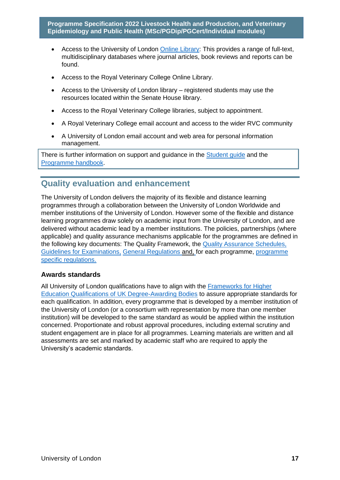- Access to the University of London [Online Library:](https://london.ac.uk/applications/how-it-works/resources-and-study-materials) This provides a range of full-text, multidisciplinary databases where journal articles, book reviews and reports can be found.
- Access to the Royal Veterinary College Online Library.
- Access to the University of London library registered students may use the resources located within the Senate House library.
- Access to the Royal Veterinary College libraries, subject to appointment.
- A Royal Veterinary College email account and access to the wider RVC community
- A University of London email account and web area for personal information management.

There is further information on support and guidance in the [Student guide](https://london.ac.uk/current-students/programme-documents) and the [Programme handbook.](https://london.ac.uk/current-students/programme-documents)

# <span id="page-17-0"></span>**Quality evaluation and enhancement**

The University of London delivers the majority of its flexible and distance learning programmes through a collaboration between the University of London Worldwide and member institutions of the University of London. However some of the flexible and distance learning programmes draw solely on academic input from the University of London, and are delivered without academic lead by a member institutions. The policies, partnerships (where applicable) and quality assurance mechanisms applicable for the programmes are defined in the following key documents: The Quality Framework, the [Quality Assurance Schedules,](https://london.ac.uk/about-us/academic-quality)  [Guidelines for Examinations,](https://london.ac.uk/support-examiners) General Regulations and, [for each programme, programme](http://www.london.ac.uk/regs)  [specific regulations.](http://www.london.ac.uk/regs)

#### **Awards standards**

All University of London qualifications have to align with the [Frameworks for Higher](https://www.qaa.ac.uk/docs/qaa/quality-code/qualifications-frameworks.pdf)  [Education Qualifications of UK Degree-Awarding Bodies](https://www.qaa.ac.uk/docs/qaa/quality-code/qualifications-frameworks.pdf) to assure appropriate standards for each qualification. In addition, every programme that is developed by a member institution of the University of London (or a consortium with representation by more than one member institution) will be developed to the same standard as would be applied within the institution concerned. Proportionate and robust approval procedures, including external scrutiny and student engagement are in place for all programmes. Learning materials are written and all assessments are set and marked by academic staff who are required to apply the University's academic standards.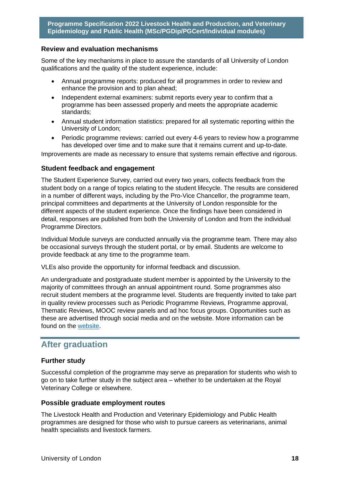## **Review and evaluation mechanisms**

Some of the key mechanisms in place to assure the standards of all University of London qualifications and the quality of the student experience, include:

- Annual programme reports: produced for all programmes in order to review and enhance the provision and to plan ahead;
- Independent external examiners: submit reports every year to confirm that a programme has been assessed properly and meets the appropriate academic standards;
- Annual student information statistics: prepared for all systematic reporting within the University of London;
- Periodic programme reviews: carried out every 4-6 years to review how a programme has developed over time and to make sure that it remains current and up-to-date.

Improvements are made as necessary to ensure that systems remain effective and rigorous.

#### **Student feedback and engagement**

The Student Experience Survey, carried out every two years, collects feedback from the student body on a range of topics relating to the student lifecycle. The results are considered in a number of different ways, including by the Pro-Vice Chancellor, the programme team, principal committees and departments at the University of London responsible for the different aspects of the student experience. Once the findings have been considered in detail, responses are published from both the University of London and from the individual Programme Directors.

Individual Module surveys are conducted annually via the programme team. There may also be occasional surveys through the student portal, or by email. Students are welcome to provide feedback at any time to the programme team.

VLEs also provide the opportunity for informal feedback and discussion.

An undergraduate and postgraduate student member is appointed by the University to the majority of committees through an annual appointment round. Some programmes also recruit student members at the programme level. Students are frequently invited to take part in quality review processes such as Periodic Programme Reviews, Programme approval, Thematic Reviews, MOOC review panels and ad hoc focus groups. Opportunities such as these are advertised through social media and on the website. More information can be found on the [website.](https://london.ac.uk/current-students/getting-involved)

# <span id="page-18-0"></span>**After graduation**

#### **Further study**

Successful completion of the programme may serve as preparation for students who wish to go on to take further study in the subject area – whether to be undertaken at the Royal Veterinary College or elsewhere.

#### **Possible graduate employment routes**

The Livestock Health and Production and Veterinary Epidemiology and Public Health programmes are designed for those who wish to pursue careers as veterinarians, animal health specialists and livestock farmers.